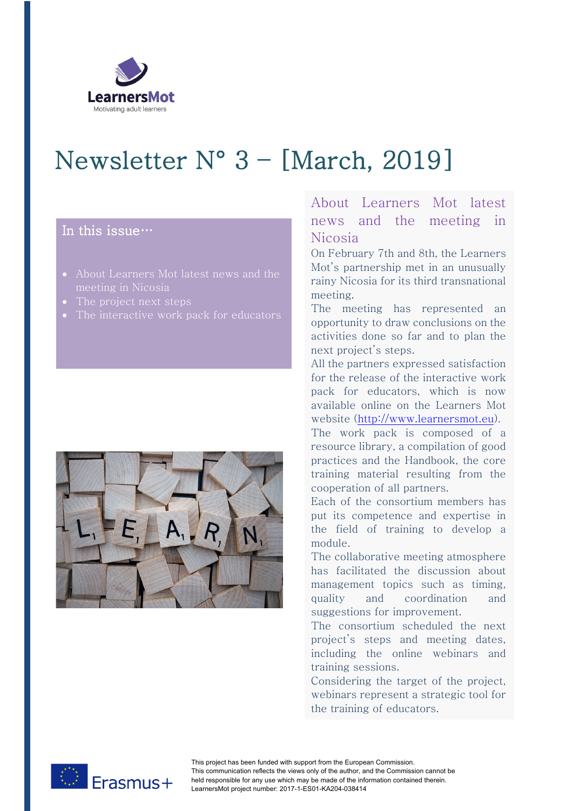

# Newsletter N° 3 – [March, 2019]

## In this issue…

- About Learners Mot latest news and the
- The project next steps
- 



## About Learners Mot latest news and the meeting in Nicosia

On February 7th and 8th, the Learners Mot's partnership met in an unusually rainy Nicosia for its third transnational meeting.

The meeting has represented an opportunity to draw conclusions on the activities done so far and to plan the next project's steps.

All the partners expressed satisfaction for the release of the interactive work pack for educators, which is now available online on the Learners Mot website (http://www.learnersmot.eu).

The work pack is composed of a resource library, a compilation of good practices and the Handbook, the core training material resulting from the cooperation of all partners.

Each of the consortium members has put its competence and expertise in the field of training to develop a module.

The collaborative meeting atmosphere has facilitated the discussion about management topics such as timing, quality and coordination and suggestions for improvement.

The consortium scheduled the next project's steps and meeting dates, including the online webinars and training sessions.

Considering the target of the project, webinars represent a strategic tool for the training of educators.

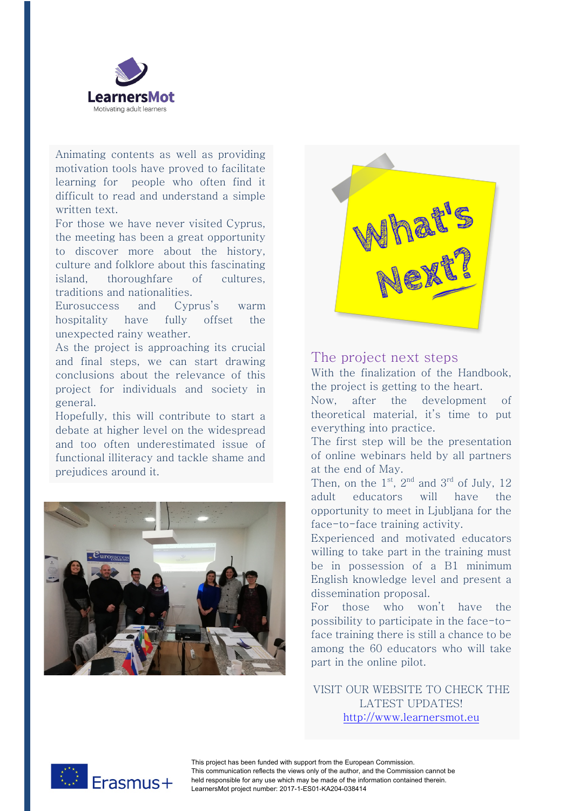

Animating contents as well as providing motivation tools have proved to facilitate learning for people who often find it difficult to read and understand a simple written text.

For those we have never visited Cyprus, the meeting has been a great opportunity to discover more about the history, culture and folklore about this fascinating island, thoroughfare of cultures, traditions and nationalities.

Eurosuccess and Cyprus's warm hospitality have fully offset the unexpected rainy weather.

As the project is approaching its crucial and final steps, we can start drawing conclusions about the relevance of this project for individuals and society in general.

Hopefully, this will contribute to start a debate at higher level on the widespread and too often underestimated issue of functional illiteracy and tackle shame and prejudices around it.





#### The project next steps

With the finalization of the Handbook, the project is getting to the heart.

Now, after the development of theoretical material, it's time to put everything into practice.

The first step will be the presentation of online webinars held by all partners at the end of May.

Then, on the  $1<sup>st</sup>$ ,  $2<sup>nd</sup>$  and  $3<sup>rd</sup>$  of July, 12 adult educators will have the opportunity to meet in Ljubljana for the face-to-face training activity.

Experienced and motivated educators willing to take part in the training must be in possession of a B1 minimum English knowledge level and present a dissemination proposal.

For those who won't have the possibility to participate in the face-toface training there is still a chance to be among the 60 educators who will take part in the online pilot.

VISIT OUR WEBSITE TO CHECK THE LATEST UPDATES! http://www.learnersmot.eu



This project has been funded with support from the European Commission. This communication reflects the views only of the author, and the Commission cannot be held responsible for any use which may be made of the information contained therein. LearnersMot project number: 2017-1-ES01-KA204-038414